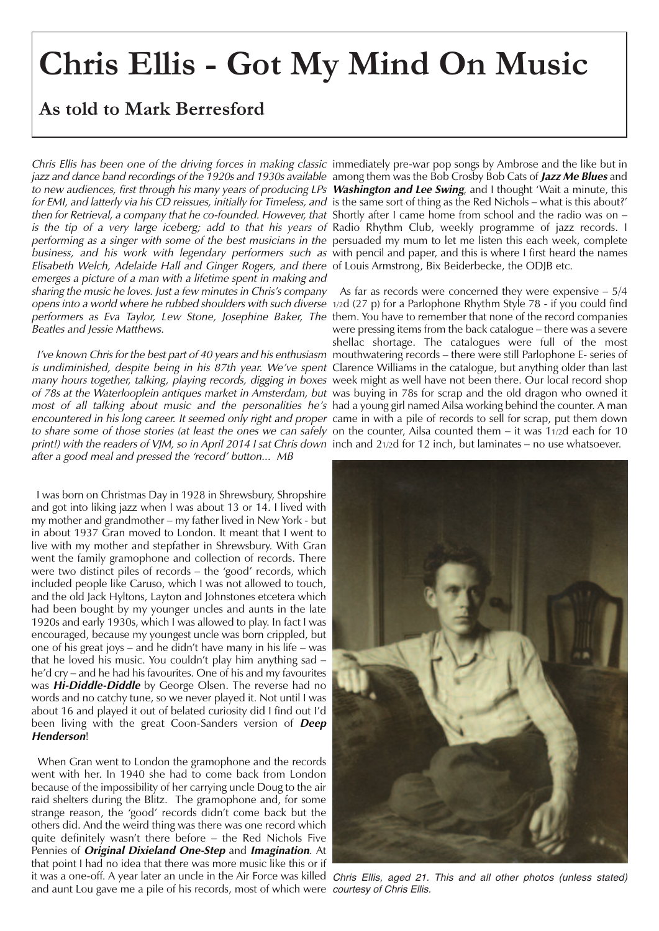## **Chris Ellis - Got My Mind On Music**

## **As told to Mark Berresford**

Chris Ellis has been one of the driving forces in making classic immediately pre-war pop songs by Ambrose and the like but in jazz and dance band recordings of the 1920s and 1930s available among them was the Bob Crosby Bob Cats of **Jazz Me Blues** and to new audiences, first through his many years of producing LPs **Washington and Lee Swing**, and I thought 'Wait a minute, this for EMI, and latterly via his CD reissues, initially for Timeless, and is the same sort of thing as the Red Nichols – what is this about?' then for Retrieval, a company that he co-founded. However, that Shortly after I came home from school and the radio was on – is the tip of <sup>a</sup> very large iceberg; add to that his years of Radio Rhythm Club, weekly programme of jazz records. I performing as a singer with some of the best musicians in the persuaded my mum to let me listen this each week, complete *business, and his work with legendary performers such as w*ith pencil and paper, and this is where I first heard the names Elisabeth Welch, Adelaide Hall and Ginger Rogers, and there of Louis Armstrong, Bix Beiderbecke, the ODJB etc. emerges <sup>a</sup> picture of <sup>a</sup> man with <sup>a</sup> lifetime spent in making and sharing the music he loves. Just <sup>a</sup> few minutes in Chris's company As far as records were concerned they were expensive – 5/4 opens into a world where he rubbed shoulders with such diverse 1/2d (27 p) for a Parlophone Rhythm Style 78 - if you could find performers as Eva Taylor, Lew Stone, Josephine Baker, The them. You have to remember that none of the record companies Beatles and Jessie Matthews.

*is undiminished, despite being in his 87th year. We've spent* Clarence Williams in the catalogue, but anything older than last *many hours together, talking, playing records, digging in boxes w*eek might as well have not been there. Our local record shop of 78s at the Waterlooplein antiques market in Amsterdam, but was buying in 78s for scrap and the old dragon who owned it *most of all talking about music and the personalities he's* had a young girl named Ailsa working behind the counter. A man encountered in his long career. It seemed only right and proper came in with a pile of records to sell for scrap, put them down to share some of those stories (at least the ones we can safely on the counter, Ailsa counted them – it was 11/2d each for 10 print!) with the readers of VJM, so in April 2014 I sat Chris down inch and 21/2d for 12 inch, but laminates – no use whatsoever. after <sup>a</sup> good meal and pressed the 'record' button... MB

I was born on Christmas Day in 1928 in Shrewsbury, Shropshire and got into liking jazz when I was about 13 or 14. I lived with my mother and grandmother – my father lived in New York - but in about 1937 Gran moved to London. It meant that I went to live with my mother and stepfather in Shrewsbury. With Gran went the family gramophone and collection of records. There were two distinct piles of records – the 'good' records, which included people like Caruso, which I was not allowed to touch, and the old Jack Hyltons, Layton and Johnstones etcetera which had been bought by my younger uncles and aunts in the late 1920s and early 1930s, which I was allowed to play. In fact I was encouraged, because my youngest uncle was born crippled, but one of his great joys – and he didn't have many in his life – was that he loved his music. You couldn't play him anything sad – he'd cry – and he had his favourites. One of his and my favourites was **Hi-Diddle-Diddle** by George Olsen. The reverse had no words and no catchy tune, so we never played it. Not until I was about 16 and played it out of belated curiosity did I find out I'd been living with the great Coon-Sanders version of **Deep Henderson**!

When Gran went to London the gramophone and the records went with her. In 1940 she had to come back from London because of the impossibility of her carrying uncle Doug to the air raid shelters during the Blitz. The gramophone and, for some strange reason, the 'good' records didn't come back but the others did. And the weird thing was there was one record which quite definitely wasn't there before – the Red Nichols Five Pennies of **Original Dixieland One-Step** and **Imagination**. At that point I had no idea that there was more music like this or if it was a one-off. A year later an uncle in the Air Force was killed *Chris Ellis, aged 21. This and all other photos (unless stated)* and aunt Lou gave me a pile of his records, most of which were *courtesy of Chris Ellis.*

I've known Chris for the best part of 40 years and his enthusiasm mouthwatering records – there were still Parlophone E- series of were pressing items from the back catalogue – there was a severe shellac shortage. The catalogues were full of the most

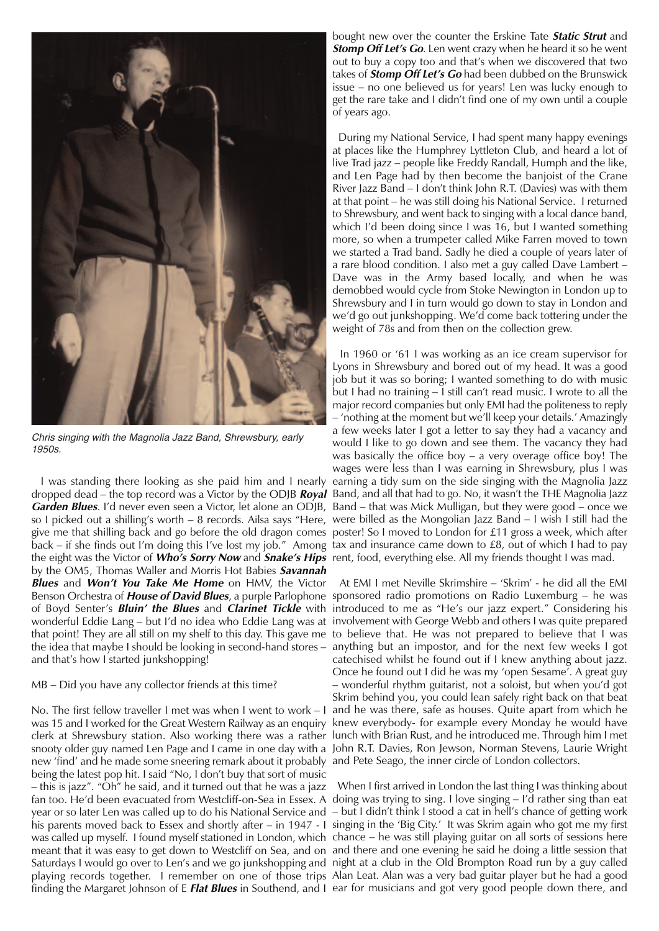

*Chris singing with the Magnolia Jazz Band, Shrewsbury, early 1950s.*

dropped dead – the top record was a Victor by the ODJB **Royal** Band, and all that had to go. No, it wasn't the THE Magnolia Jazz **Garden Blues**. I'd never even seen a Victor, let alone an ODJB, Band – that was Mick Mulligan, but they were good – once we so I picked out a shilling's worth – 8 records. Ailsa says "Here, were billed as the Mongolian Jazz Band – I wish I still had the give me that shilling back and go before the old dragon comes poster! So I moved to London for £11 gross a week, which after back – if she finds out I'm doing this I've lost my job." Among tax and insurance came down to £8, out of which I had to pay the eight was the Victor of **Who's Sorry Now** and **Snake's Hips** rent, food, everything else. All my friends thought I was mad. by the OM5, Thomas Waller and Morris Hot Babies **Savannah Blues** and **Won't You Take Me Home** on HMV, the Victor Benson Orchestra of **House of David Blues**, a purple Parlophone sponsored radio promotions on Radio Luxemburg – he was of Boyd Senter's **Bluin' the Blues** and **Clarinet Tickle** with introduced to me as "He's our jazz expert." Considering his wonderful Eddie Lang – but I'd no idea who Eddie Lang was at involvement with George Webb and others I was quite prepared that point! They are all still on my shelf to this day. This gave me to believe that. He was not prepared to believe that I was the idea that maybe I should be looking in second-hand stores – anything but an impostor, and for the next few weeks I got and that's how I started junkshopping!

## MB – Did you have any collector friends at this time?

No. The first fellow traveller I met was when I went to work – I and he was there, safe as houses. Quite apart from which he was 15 and I worked for the Great Western Railway as an enquiry knew everybody- for example every Monday he would have clerk at Shrewsbury station. Also working there was a rather lunch with Brian Rust, and he introduced me. Through him I met snooty older guy named Len Page and I came in one day with a John R.T. Davies, Ron Jewson, Norman Stevens, Laurie Wright new 'find' and he made some sneering remark about it probably and Pete Seago, the inner circle of London collectors. being the latest pop hit. I said "No, I don't buy that sort of music – this is jazz". "Oh" he said, and it turned out that he was a jazz fan too. He'd been evacuated from Westcliff-on-Sea in Essex. A doing was trying to sing. I love singing – I'd rather sing than eat year or so later Len was called up to do his National Service and – but I didn't think I stood a cat in hell's chance of getting work his parents moved back to Essex and shortly after – in 1947 - I singing in the 'Big City.' It was Skrim again who got me my first was called up myself. I found myself stationed in London, which chance – he was still playing guitar on all sorts of sessions here meant that it was easy to get down to Westcliff on Sea, and on and there and one evening he said he doing a little session that Saturdays I would go over to Len's and we go junkshopping and night at a club in the Old Brompton Road run by a guy called playing records together. I remember on one of those trips Alan Leat. Alan was a very bad guitar player but he had a good finding the Margaret Johnson of E **Flat Blues** in Southend, and I ear for musicians and got very good people down there, and

bought new over the counter the Erskine Tate **Static Strut** and **Stomp Off Let's Go**. Len went crazy when he heard it so he went out to buy a copy too and that's when we discovered that two takes of **Stomp Off Let's Go** had been dubbed on the Brunswick issue – no one believed us for years! Len was lucky enough to get the rare take and I didn't find one of my own until a couple of years ago.

During my National Service, I had spent many happy evenings at places like the Humphrey Lyttleton Club, and heard a lot of live Trad jazz – people like Freddy Randall, Humph and the like, and Len Page had by then become the banjoist of the Crane River Jazz Band – I don't think John R.T. (Davies) was with them at that point – he was still doing his National Service. I returned to Shrewsbury, and went back to singing with a local dance band, which I'd been doing since I was 16, but I wanted something more, so when a trumpeter called Mike Farren moved to town we started a Trad band. Sadly he died a couple of years later of a rare blood condition. I also met a guy called Dave Lambert – Dave was in the Army based locally, and when he was demobbed would cycle from Stoke Newington in London up to Shrewsbury and I in turn would go down to stay in London and we'd go out junkshopping. We'd come back tottering under the weight of 78s and from then on the collection grew.

I was standing there looking as she paid him and I nearly earning a tidy sum on the side singing with the Magnolia Jazz In 1960 or '61 I was working as an ice cream supervisor for Lyons in Shrewsbury and bored out of my head. It was a good job but it was so boring; I wanted something to do with music but I had no training – I still can't read music. I wrote to all the major record companies but only EMI had the politeness to reply – 'nothing at the moment but we'll keep your details.' Amazingly a few weeks later I got a letter to say they had a vacancy and would I like to go down and see them. The vacancy they had was basically the office boy – a very overage office boy! The wages were less than I was earning in Shrewsbury, plus I was

> At EMI I met Neville Skrimshire – 'Skrim' - he did all the EMI catechised whilst he found out if I knew anything about jazz. Once he found out I did he was my 'open Sesame'. A great guy – wonderful rhythm guitarist, not a soloist, but when you'd got Skrim behind you, you could lean safely right back on that beat

> When I first arrived in London the last thing I was thinking about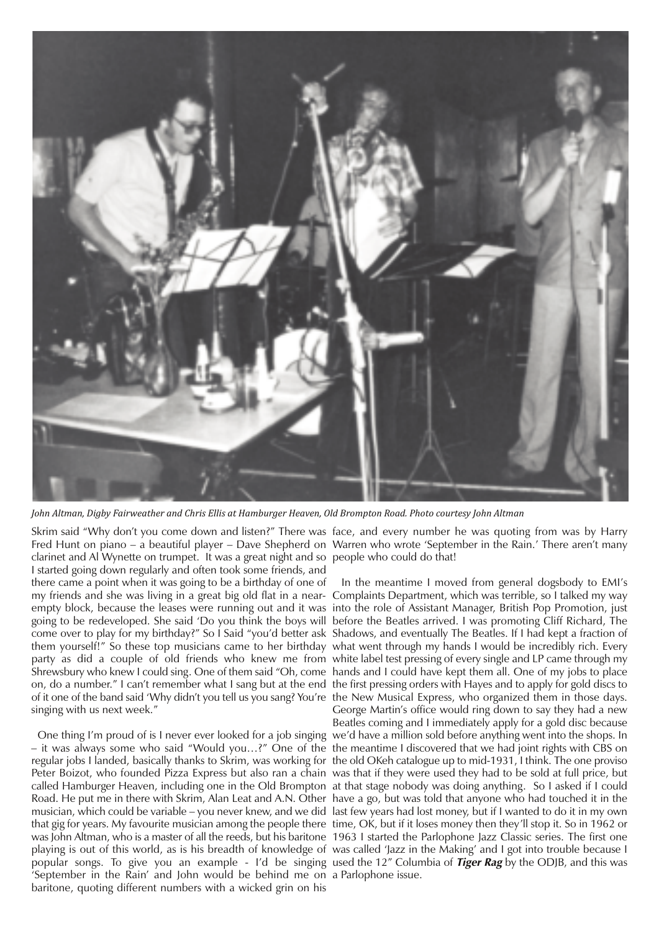

John Altman, Digby Fairweather and Chris Ellis at Hamburger Heaven, Old Brompton Road. Photo courtesy John Altman

Skrim said "Why don't you come down and listen?" There was face, and every number he was quoting from was by Harry Fred Hunt on piano – a beautiful player – Dave Shepherd on Warren who wrote 'September in the Rain.' There aren't many clarinet and Al Wynette on trumpet. It was a great night and so people who could do that! I started going down regularly and often took some friends, and there came a point when it was going to be a birthday of one of my friends and she was living in a great big old flat in a near-Complaints Department, which was terrible, so I talked my way empty block, because the leases were running out and it was into the role of Assistant Manager, British Pop Promotion, just going to be redeveloped. She said 'Do you think the boys will before the Beatles arrived. I was promoting Cliff Richard, The come over to play for my birthday?" So I Said "you'd better ask Shadows, and eventually The Beatles. If I had kept a fraction of them yourself!" So these top musicians came to her birthday what went through my hands I would be incredibly rich. Every party as did a couple of old friends who knew me from white label test pressing of every single and LP came through my Shrewsbury who knew I could sing. One of them said "Oh, come hands and I could have kept them all. One of my jobs to place on, do a number." I can't remember what I sang but at the end the first pressing orders with Hayes and to apply for gold discs to of it one of the band said 'Why didn't you tell us you sang? You're the New Musical Express, who organized them in those days. singing with us next week."

– it was always some who said "Would you…?" One of the the meantime I discovered that we had joint rights with CBS on regular jobs I landed, basically thanks to Skrim, was working for the old OKeh catalogue up to mid-1931, I think. The one proviso Peter Boizot, who founded Pizza Express but also ran a chain was that if they were used they had to be sold at full price, but called Hamburger Heaven, including one in the Old Brompton at that stage nobody was doing anything. So I asked if I could Road. He put me in there with Skrim, Alan Leat and A.N. Other have a go, but was told that anyone who had touched it in the musician, which could be variable – you never knew, and we did last few years had lost money, but if I wanted to do it in my own that gig for years. My favourite musician among the people there time, OK, but if it loses money then they'll stop it. So in 1962 or was John Altman, who is a master of all the reeds, but his baritone 1963 I started the Parlophone Jazz Classic series. The first one playing is out of this world, as is his breadth of knowledge of was called 'Jazz in the Making' and I got into trouble because I popular songs. To give you an example - I'd be singing used the 12" Columbia of **Tiger Rag** by the ODJB, and this was 'September in the Rain' and John would be behind me on a Parlophone issue. baritone, quoting different numbers with a wicked grin on his

One thing I'm proud of is I never ever looked for a job singing we'd have a million sold before anything went into the shops. In In the meantime I moved from general dogsbody to EMI's George Martin's office would ring down to say they had a new Beatles coming and I immediately apply for a gold disc because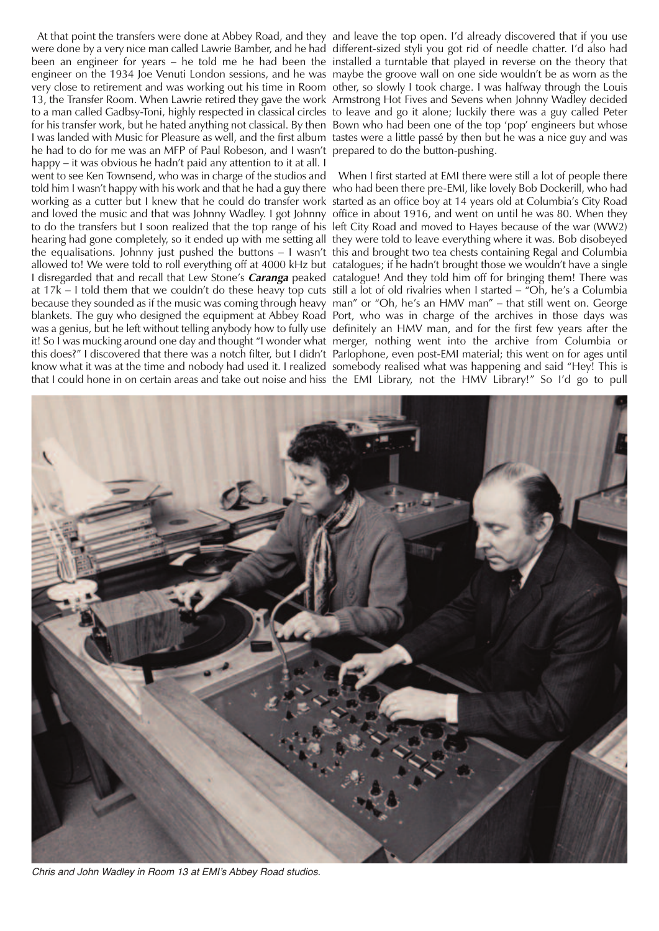were done by a very nice man called Lawrie Bamber, and he had different-sized styli you got rid of needle chatter. I'd also had been an engineer for years – he told me he had been the installed a turntable that played in reverse on the theory that engineer on the 1934 Joe Venuti London sessions, and he was maybe the groove wall on one side wouldn't be as worn as the very close to retirement and was working out his time in Room other, so slowly I took charge. I was halfway through the Louis 13, the Transfer Room. When Lawrie retired they gave the work Armstrong Hot Fives and Sevens when Johnny Wadley decided to a man called Gadbsy-Toni, highly respected in classical circles to leave and go it alone; luckily there was a guy called Peter for his transfer work, but he hated anything not classical. By then Bown who had been one of the top 'pop' engineers but whose I was landed with Music for Pleasure as well, and the first album tastes were a little passé by then but he was a nice guy and was he had to do for me was an MFP of Paul Robeson, and I wasn't prepared to do the button-pushing. happy – it was obvious he hadn't paid any attention to it at all. I went to see Ken Townsend, who was in charge of the studios and When I first started at EMI there were still a lot of people there told him I wasn't happy with his work and that he had a guy there who had been there pre-EMI, like lovely Bob Dockerill, who had working as a cutter but I knew that he could do transfer work started as an office boy at 14 years old at Columbia's City Road and loved the music and that was Johnny Wadley. I got Johnny office in about 1916, and went on until he was 80. When they to do the transfers but I soon realized that the top range of his left City Road and moved to Hayes because of the war (WW2) hearing had gone completely, so it ended up with me setting all they were told to leave everything where it was. Bob disobeyed the equalisations. Johnny just pushed the buttons – I wasn't this and brought two tea chests containing Regal and Columbia allowed to! We were told to roll everything off at 4000 kHz but catalogues; if he hadn't brought those we wouldn't have a single I disregarded that and recall that Lew Stone's **Caranga** peaked catalogue! And they told him off for bringing them! There was at 17k – I told them that we couldn't do these heavy top cuts still a lot of old rivalries when I started – "Oh, he's a Columbia because they sounded as if the music was coming through heavy man" or "Oh, he's an HMV man" – that still went on. George blankets. The guy who designed the equipment at Abbey Road Port, who was in charge of the archives in those days was was a genius, but he left without telling anybody how to fully use definitely an HMV man, and for the first few years after the it! So I was mucking around one day and thought "I wonder what merger, nothing went into the archive from Columbia or this does?" I discovered that there was a notch filter, but I didn't Parlophone, even post-EMI material; this went on for ages until know what it was at the time and nobody had used it. I realized somebody realised what was happening and said "Hey! This is that I could hone in on certain areas and take out noise and hiss the EMI Library, not the HMV Library!" So I'd go to pull

At that point the transfers were done at Abbey Road, and they and leave the top open. I'd already discovered that if you use



*Chris and John Wadley in Room 13 at EMI's Abbey Road studios.*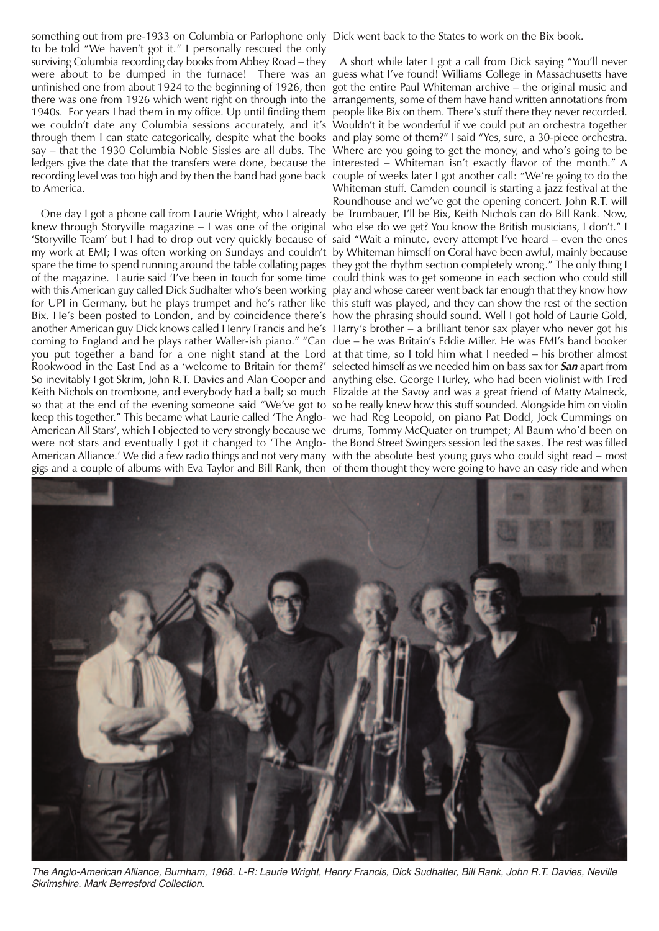something out from pre-1933 on Columbia or Parlophone only Dick went back to the States to work on the Bix book. to be told "We haven't got it." I personally rescued the only surviving Columbia recording day books from Abbey Road – they were about to be dumped in the furnace! There was an guess what I've found! Williams College in Massachusetts have unfinished one from about 1924 to the beginning of 1926, then got the entire Paul Whiteman archive – the original music and there was one from 1926 which went right on through into the arrangements, some of them have hand written annotations from 1940s. For years I had them in my office. Up until finding them people like Bix on them. There's stuff there they never recorded. we couldn't date any Columbia sessions accurately, and it's Wouldn't it be wonderful if we could put an orchestra together through them I can state categorically, despite what the books and play some of them?" I said "Yes, sure, a 30-piece orchestra. say – that the 1930 Columbia Noble Sissles are all dubs. The Where are you going to get the money, and who's going to be ledgers give the date that the transfers were done, because the interested – Whiteman isn't exactly flavor of the month." A recording level was too high and by then the band had gone back couple of weeks later I got another call: "We're going to do the to America.

knew through Storyville magazine – I was one of the original who else do we get? You know the British musicians, I don't." I 'Storyville Team' but I had to drop out very quickly because of said "Wait a minute, every attempt I've heard – even the ones my work at EMI; I was often working on Sundays and couldn't by Whiteman himself on Coral have been awful, mainly because spare the time to spend running around the table collating pages  $\,$  they got the rhythm section completely wrong." The only thing I of the magazine. Laurie said 'I've been in touch for some time could think was to get someone in each section who could still with this American guy called Dick Sudhalter who's been working play and whose career went back far enough that they know how for UPI in Germany, but he plays trumpet and he's rather like this stuff was played, and they can show the rest of the section Bix. He's been posted to London, and by coincidence there's how the phrasing should sound. Well I got hold of Laurie Gold, another American guy Dick knows called Henry Francis and he's Harry's brother – a brilliant tenor sax player who never got his coming to England and he plays rather Waller-ish piano." "Can due – he was Britain's Eddie Miller. He was EMI's band booker you put together a band for a one night stand at the Lord at that time, so I told him what I needed – his brother almost Rookwood in the East End as a 'welcome to Britain for them?' selected himself as we needed him on bass sax for **San** apart from So inevitably I got Skrim, John R.T. Davies and Alan Cooper and anything else. George Hurley, who had been violinist with Fred Keith Nichols on trombone, and everybody had a ball; so much Elizalde at the Savoy and was a great friend of Matty Malneck, so that at the end of the evening someone said "We've got to so he really knew how this stuff sounded. Alongside him on violin keep this together." This became what Laurie called 'The Anglo-we had Reg Leopold, on piano Pat Dodd, Jock Cummings on American All Stars', which I objected to very strongly because we drums, Tommy McQuater on trumpet; Al Baum who'd been on were not stars and eventually I got it changed to 'The Anglo-the Bond Street Swingers session led the saxes. The rest was filled American Alliance.' We did a few radio things and not very many with the absolute best young guys who could sight read – most gigs and a couple of albums with Eva Taylor and Bill Rank, then of them thought they were going to have an easy ride and when

One day I got a phone call from Laurie Wright, who I already be Trumbauer, I'll be Bix, Keith Nichols can do Bill Rank. Now, A short while later I got a call from Dick saying "You'll never Whiteman stuff. Camden council is starting a jazz festival at the Roundhouse and we've got the opening concert. John R.T. will



The Anglo-American Alliance, Burnham, 1968. L-R: Laurie Wright, Henry Francis, Dick Sudhalter, Bill Rank, John R.T. Davies, Neville *Skrimshire. Mark Berresford Collection.*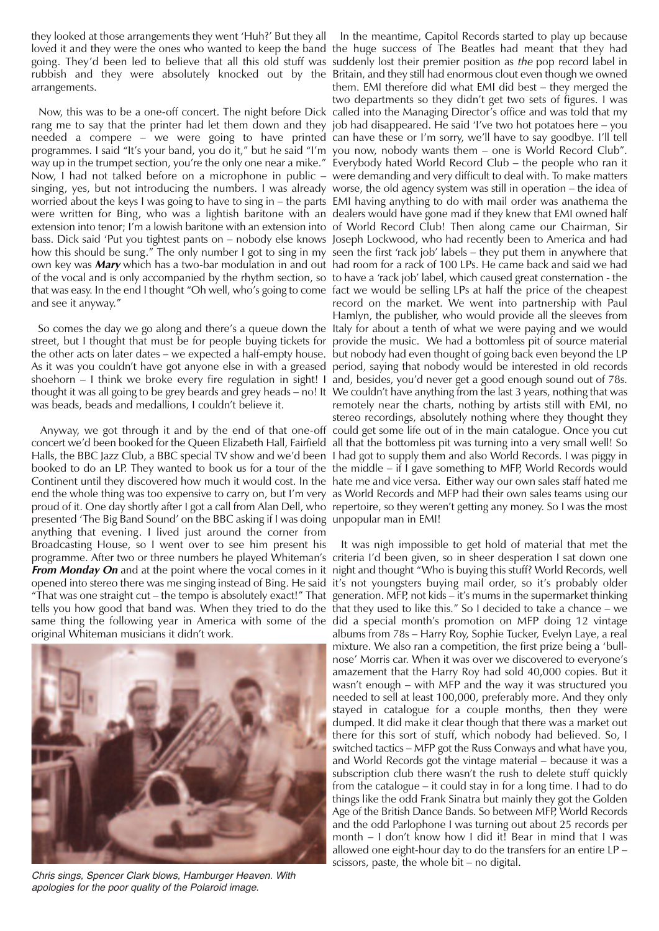they looked at those arrangements they went 'Huh?' But they all In the meantime, Capitol Records started to play up because arrangements.

rang me to say that the printer had let them down and they job had disappeared. He said 'I've two hot potatoes here – you needed a compere – we were going to have printed can have these or I'm sorry, we'll have to say goodbye. I'll tell programmes. I said "It's your band, you do it," but he said "I'm you now, nobody wants them – one is World Record Club". way up in the trumpet section, you're the only one near a mike." Everybody hated World Record Club – the people who ran it Now, I had not talked before on a microphone in public – were demanding and very difficult to deal with. To make matters singing, yes, but not introducing the numbers. I was already worse, the old agency system was still in operation – the idea of worried about the keys I was going to have to sing in – the parts EMI having anything to do with mail order was anathema the were written for Bing, who was a lightish baritone with an dealerswould have gone mad if they knew that EMI owned half extension into tenor; I'm a lowish baritone with an extension into of World Record Club! Then along came our Chairman, Sir bass. Dick said 'Put you tightest pants on – nobody else knows Joseph Lockwood, who had recently been to America and had how this should be sung." The only number I got to sing in my seen the first 'rack job' labels – they put them in anywhere that own key was **Mary** which has a two-bar modulation in and out had room for a rack of 100 LPs. He came back and said we had of the vocal and is only accompanied by the rhythm section, so to have a 'rack job' label, which caused great consternation - the that was easy. In the end I thought "Oh well, who's going to come fact we would be selling LPs at half the price of the cheapest and see it anyway."

street, but I thought that must be for people buying tickets for provide the music. We had a bottomless pit of source material the other acts on later dates – we expected a half-empty house. but nobody had even thought of going back even beyond the LP As it was you couldn't have got anyone else in with a greased period, saying that nobody would be interested in old records shoehorn – I think we broke every fire regulation in sight! I and, besides, you'd never get a good enough sound out of 78s. thought it was all going to be grey beards and grey heads – no! It We couldn't have anything from the last 3 years, nothing that was was beads, beads and medallions, I couldn't believe it.

concert we'd been booked for the Queen Elizabeth Hall, Fairfield all that the bottomless pit was turning into a very small well! So Halls, the BBC Jazz Club, a BBC special TV show and we'd been I had got to supply them and also World Records. I was piggy in booked to do an LP. They wanted to book us for a tour of the the middle – if I gave something to MFP, World Records would Continent until they discovered how much it would cost. In the hate me and vice versa. Either way our own sales staff hated me end the whole thing was too expensive to carry on, but I'm very as World Records and MFP had their own sales teams using our proud of it. One day shortly after I got a call from Alan Dell, who repertoire, so they weren't getting any money. So I was the most presented 'The Big Band Sound' on the BBC asking if I was doing unpopular man in EMI! anything that evening. I lived just around the corner from Broadcasting House, so I went over to see him present his programme. After two or three numbers he played Whiteman's criteria I'd been given, so in sheer desperation I sat down one **From Monday On** and at the point where the vocal comes in it night and thought "Who is buying this stuff? World Records, well opened into stereo there was me singing instead of Bing. He said it's not youngsters buying mail order, so it's probably older "That was one straight cut – the tempo is absolutely exact!" That generation. MFP, not kids – it's mums in the supermarket thinking tells you how good that band was. When they tried to do the that they used to like this." So I decided to take a chance – we same thing the following year in America with some of the did a special month's promotion on MFP doing 12 vintage original Whiteman musicians it didn't work.



*Chris sings, Spencer Clark blows, Hamburger Heaven. With apologies for the poor quality of the Polaroid image.*

loved it and they were the ones who wanted to keep the band the huge success of The Beatles had meant that they had going. They'd been led to believe that all this old stuff was suddenly lost their premier position as *the* pop record label in rubbish and they were absolutely knocked out by the Britain, and they still had enormous clout even though we owned Now, this was to be a one-off concert. The night before Dick called into the Managing Director's office and was told that my So comes the day we go along and there's a queue down the Italy for about a tenth of what we were paying and we would Anyway, we got through it and by the end of that one-off could get some life out of in the main catalogue. Once you cut them. EMI therefore did what EMI did best – they merged the two departments so they didn't get two sets of figures. I was record on the market. We went into partnership with Paul Hamlyn, the publisher, who would provide all the sleeves from remotely near the charts, nothing by artists still with EMI, no stereo recordings, absolutely nothing where they thought they

> It was nigh impossible to get hold of material that met the albums from 78s – Harry Roy, Sophie Tucker, Evelyn Laye, a real mixture. We also ran a competition, the first prize being a 'bullnose' Morris car. When it was over we discovered to everyone's amazement that the Harry Roy had sold 40,000 copies. But it wasn't enough – with MFP and the way it was structured you needed to sell at least 100,000, preferably more. And they only stayed in catalogue for a couple months, then they were dumped. It did make it clear though that there was a market out there for this sort of stuff, which nobody had believed. So, I switched tactics – MFP got the Russ Conways and what have you, and World Records got the vintage material – because it was a subscription club there wasn't the rush to delete stuff quickly from the catalogue – it could stay in for a long time. I had to do things like the odd Frank Sinatra but mainly they got the Golden Age of the British Dance Bands. So between MFP, World Records and the odd Parlophone I was turning out about 25 records per month – I don't know how I did it! Bear in mind that I was allowed one eight-hour day to do the transfers for an entire LP – scissors, paste, the whole bit – no digital.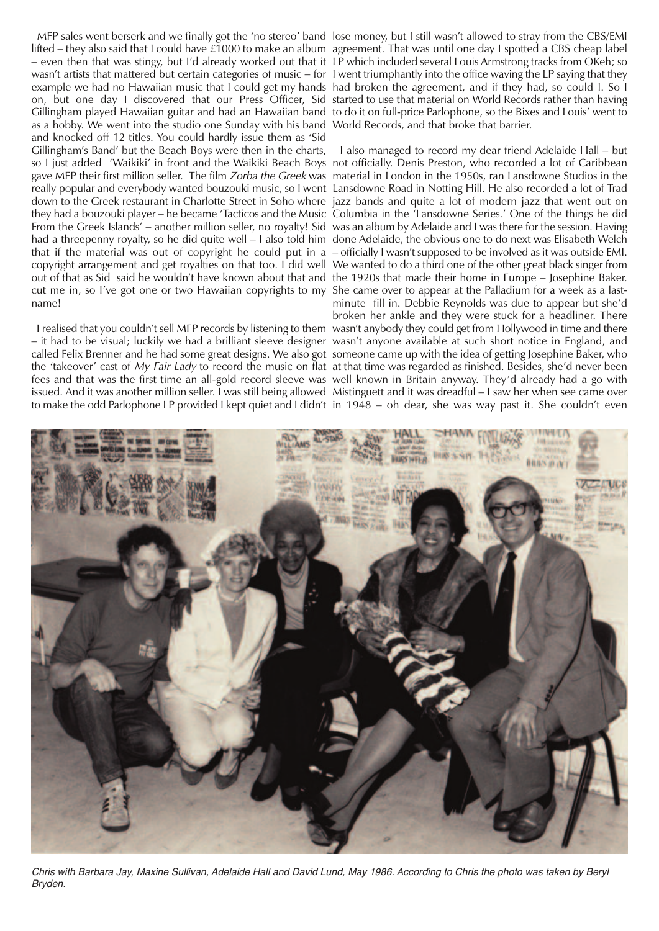lifted – they also said that I could have £1000 to make an album agreement. That was until one day I spotted a CBS cheap label – even then that was stingy, but I'd already worked out that it LP which included several Louis Armstrong tracks from OKeh; so wasn't artists that mattered but certain categories of music – for I went triumphantly into the office waving the LP saying that they example we had no Hawaiian music that I could get my hands had broken the agreement, and if they had, so could I. So I on, but one day I discovered that our Press Officer, Sid started touse that material on World Records rather than having Gillingham played Hawaiian guitar and had an Hawaiian band to do it on full-price Parlophone, so the Bixes and Louis' went to as a hobby. We went into the studio one Sunday with his band World Records, and that broke that barrier. and knocked off 12 titles. You could hardly issue them as 'Sid Gillingham's Band' but the Beach Boys were then in the charts, so I just added 'Waikiki' in front and the Waikiki Beach Boys not officially. Denis Preston, who recorded a lot of Caribbean gave MFP their first million seller. The film *Zorba the Greek* was material in London in the 1950s, ran Lansdowne Studios in the really popular and everybody wanted bouzouki music, so I went Lansdowne Road in Notting Hill. He also recorded a lot of Trad down to the Greek restaurant in Charlotte Street in Soho where jazz bands and quite a lot of modern jazz that went out on they had a bouzouki player – he became 'Tacticos and the Music Columbia in the 'Lansdowne Series.' One of the things he did From the Greek Islands' – another million seller, no royalty! Sid was an album by Adelaide and I was there for the session. Having had a threepenny royalty, so he did quite well – I also told him done Adelaide, the obvious one to do next was Elisabeth Welch that if the material was out of copyright he could put in a –officially I wasn't supposed to be involved as it was outside EMI. copyright arrangement and get royalties on that too. I did well We wanted to do a third one of the other great black singer from out of that as Sid said he wouldn't have known about that and the 1920s that made their home in Europe – Josephine Baker. cut me in, so I've got one or two Hawaiian copyrights to my She came over to appear at the Palladium for a week as a lastname!

– it had to be visual; luckily we had a brilliant sleeve designer wasn't anyone available at such short notice in England, and called Felix Brenner and he had some great designs. We also got someone came up with the idea of getting Josephine Baker, who the 'takeover' cast of *My Fair Lady* to record the music on flat at that time was regarded as finished. Besides, she'd never been fees and that was the first time an all-gold record sleeve was well known in Britain anyway. They'd already had a go with issued. And it was another million seller. I was still being allowed Mistinguett and it was dreadful – I saw her when see came over

MFP sales went berserk and we finally got the 'no stereo' band lose money, but I still wasn't allowed to stray from the CBS/EMI

I realised that you couldn't sell MFP records by listening to them wasn't anybody they could get from Hollywood in time and there to make the odd Parlophone LP provided I kept quiet and I didn't in 1948 – oh dear, she was way past it. She couldn't even I also managed to record my dear friend Adelaide Hall – but minute fill in. Debbie Reynolds was due to appear but she'd broken her ankle and they were stuck for a headliner. There



Chris with Barbara Jay, Maxine Sullivan, Adelaide Hall and David Lund, May 1986. According to Chris the photo was taken by Beryl *Bryden.*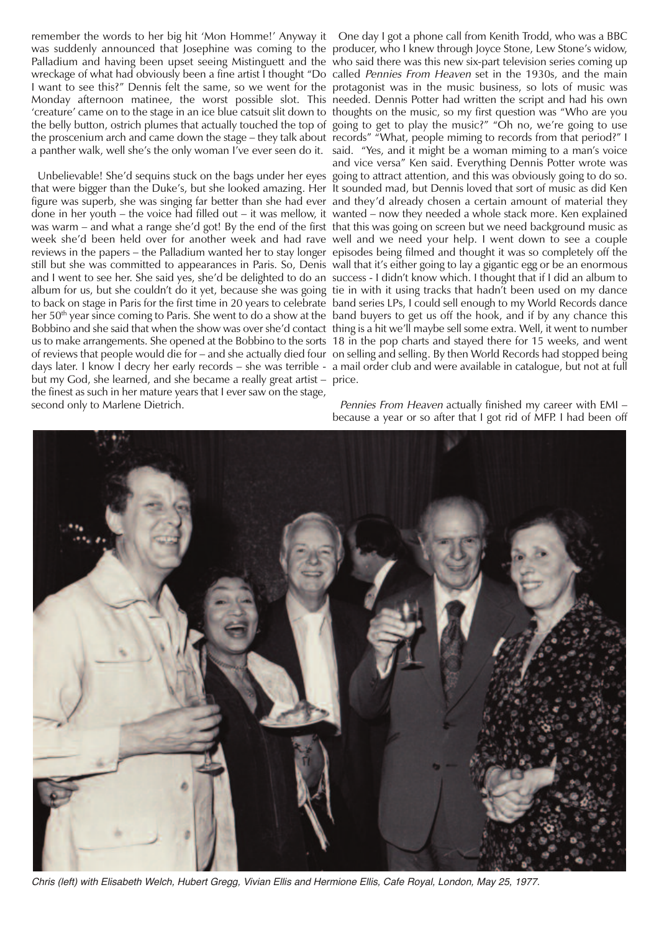remember the words to her big hit 'Mon Homme!' Anyway it One day I got a phone call from Kenith Trodd, who was a BBC was suddenly announced that Josephine was coming to the producer, who I knew through Joyce Stone, Lew Stone's widow, Palladium and having been upset seeing Mistinguett and the who said there was this new six-part television series coming up wreckage of what had obviously been a fine artist I thought "Do-called *Pennies From Heaven* set in the 1930s, and the main I want to see this?" Dennis felt the same, so we went for the protagonist was in the music business, so lots of music was Monday afternoon matinee, the worst possible slot. This needed. Dennis Potter had written the script and had his own 'creature' came on to the stage in an ice blue catsuit slit down to thoughts on the music, so my first question was "Who are you the belly button, ostrich plumes that actually touched the top of going to get to play the music?" "Oh no, we're going to use the proscenium arch and came down the stage – they talk about records" "What, people miming to records from that period?" I

that were bigger than the Duke's, but she looked amazing. Her It sounded mad, but Dennis loved that sort of music as did Ken figure was superb, she was singing far better than she had ever and they'd already chosen a certain amount of material they done in her youth – the voice had filled out – it was mellow, it wanted – now they needed a whole stack more. Ken explained was warm – and what a range she'd got! By the end of the first that this was going on screen but we need background music as week she'd been held over for another week and had rave well and we need your help. I went down to see a couple reviews in the papers – the Palladium wanted her to stay longer episodes being filmed and thought it was so completely off the still but she was committed to appearances in Paris. So, Denis wall that it's either going to lay a gigantic egg or be an enormous and I went to see her. She said yes, she'd be delighted to do an success - I didn't know which. I thought that if I did an album to album for us, but she couldn't do it yet, because she was going tie in with it using tracks that hadn't been used on my dance to back on stage in Paris for the first time in 20 years to celebrate band series LPs, I could sell enough to my World Records dance her 50<sup>th</sup> year since coming to Paris. She went to do a show at the band buyers to get us off the hook, and if by any chance this Bobbino and she said that when the show was over she'd contact thing is a hit we'll maybe sell some extra. Well, it went to number us to make arrangements. She opened at the Bobbino to the sorts 18 in the pop charts and stayed there for 15 weeks, and went of reviews that people would die for – and she actually died four on selling and selling. By then World Records had stopped being days later. I know I decry her early records – she was terrible - a mail order club and were available in catalogue, but not at full but my God, she learned, and she became a really great artist – price. the finest as such in her mature years that I ever saw on the stage, second only to Marlene Dietrich.

a panther walk, well she's the only woman I've ever seen do it. said. "Yes, and it might be a woman miming to a man's voice Unbelievable! She'd sequins stuck on the bags under her eyes going to attract attention, and this was obviously going to do so. and vice versa" Ken said. Everything Dennis Potter wrote was

> Pennies From Heaven actually finished my career with EMI – because a year or so after that I got rid of MFP. I had been off



Chris (left) with Elisabeth Welch, Hubert Gregg, Vivian Ellis and Hermione Ellis, Cafe Royal, London, May 25, 1977.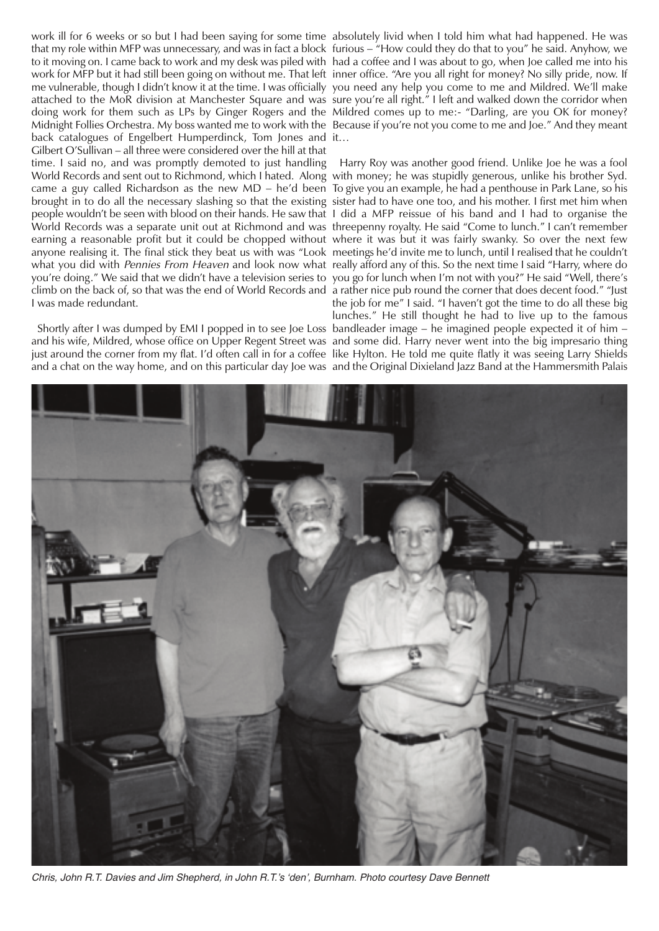that my role within MFP was unnecessary, and was in fact a block furious – "How could they do that to you" he said. Anyhow, we to it moving on. I came back to work and my desk was piled with had a coffee and I was about to go, when Joe called me into his work for MFP but it had still been going on without me. That left inner office. "Are you all right for money? No silly pride, now. If me vulnerable, though I didn't know it at the time. I was officially you need any help you come to me and Mildred. We'll make attached to the MoR division at Manchester Square and was sure you're all right." I left and walked down the corridor when doing work for them such as LPs by Ginger Rogers and the Mildred comes up to me:- "Darling, are you OK for money? Midnight Follies Orchestra. My boss wanted me to work with the Because if you're not you come to me and Joe." And they meant back catalogues of Engelbert Humperdinck, Tom Jones and it… Gilbert O'Sullivan – all three were considered over the hill at that time. I said no, and was promptly demoted to just handling Harry Roy was another good friend. Unlike Joe he was a fool World Records and sent out to Richmond, which I hated. Along with money; he was stupidly generous, unlike his brother Syd. came a guy called Richardson as the new MD – he'd been To give you an example, he had a penthouse in Park Lane, so his brought in to do all the necessary slashing so that the existing sister had to have one too, and his mother. I first met him when people wouldn't be seen with blood on their hands. He saw that I did a MFP reissue of his band and I had to organise the World Records was a separate unit out at Richmond and was threepenny royalty. He said "Come to lunch." I can't remember earning a reasonable profit but it could be chopped without where it was but it was fairly swanky. So over the next few anyone realising it. The final stick they beat us with was "Look meetings he'd invite me to lunch, until I realised that he couldn't what you did with *Pennies From Heaven* and look now what really afford any of this. So the next time I said "Harry, where do you're doing." We said that we didn't have a television series to you go for lunch when I'm not with you?" He said "Well, there's climb on the back of, so that was the end of World Records and a rather nice pub round the corner that does decent food." "Just I was made redundant.

and his wife, Mildred, whose office on Upper Regent Street was and some did. Harry never went into the big impresario thing just around the corner from my flat. I'd often call in for a coffee like Hylton. He told me quite flatly it was seeing Larry Shields

work ill for 6 weeks or so but I had been saying for some time absolutely livid when I told him what had happened. He was

Shortly after I was dumped by EMI I popped in to see Joe Loss bandleader image – he imagined people expected it of him – and a chat on the way home, and on this particular day Joe was and the Original Dixieland Jazz Band at the Hammersmith Palais the job for me" I said. "I haven't got the time to do all these big lunches." He still thought he had to live up to the famous



*Chris, John R.T. Davies and Jim Shepherd, in John R.T.'s 'den', Burnham. Photo courtesy Dave Bennett*